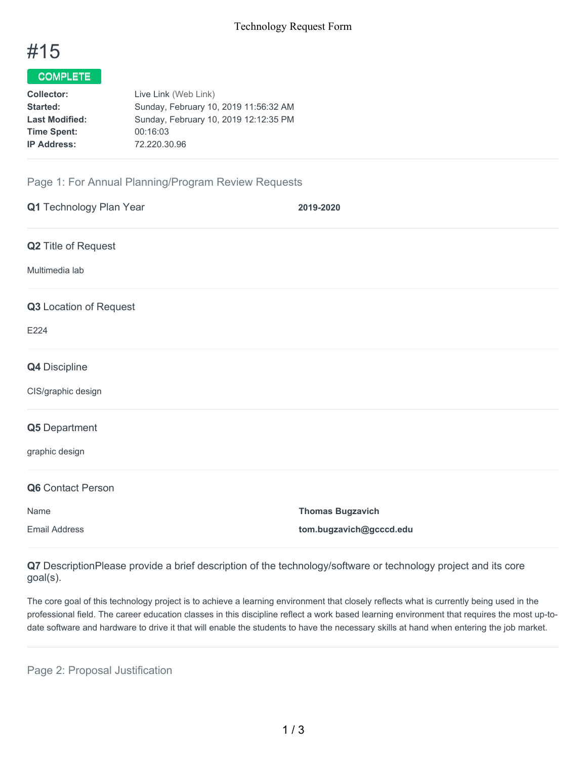

# COMPLETE

| Collector:            | Live Link (Web Link)                  |
|-----------------------|---------------------------------------|
| Started:              | Sunday, February 10, 2019 11:56:32 AM |
| <b>Last Modified:</b> | Sunday, February 10, 2019 12:12:35 PM |
| <b>Time Spent:</b>    | 00:16:03                              |
| <b>IP Address:</b>    | 72.220.30.96                          |
|                       |                                       |

## Page 1: For Annual Planning/Program Review Requests

| Q1 Technology Plan Year | 2019-2020               |
|-------------------------|-------------------------|
| Q2 Title of Request     |                         |
| Multimedia lab          |                         |
| Q3 Location of Request  |                         |
| E224                    |                         |
| Q4 Discipline           |                         |
| CIS/graphic design      |                         |
| Q5 Department           |                         |
| graphic design          |                         |
| Q6 Contact Person       |                         |
| Name                    | <b>Thomas Bugzavich</b> |
| <b>Email Address</b>    | tom.bugzavich@gcccd.edu |

**Q7** DescriptionPlease provide a brief description of the technology/software or technology project and its core goal(s).

The core goal of this technology project is to achieve a learning environment that closely reflects what is currently being used in the professional field. The career education classes in this discipline reflect a work based learning environment that requires the most up-todate software and hardware to drive it that will enable the students to have the necessary skills at hand when entering the job market.

Page 2: Proposal Justification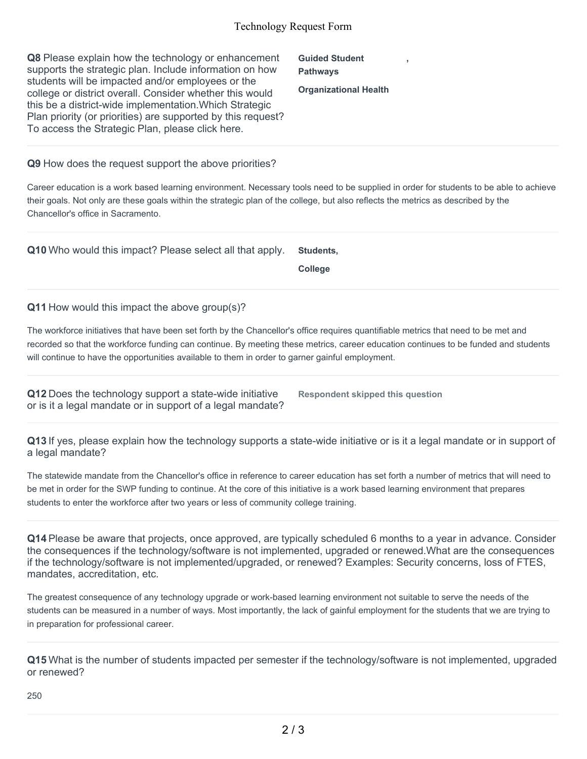#### Technology Request Form

| Q8 Please explain how the technology or enhancement<br>supports the strategic plan. Include information on how<br>students will be impacted and/or employees or the | <b>Guided Student</b><br><b>Pathways</b> |  |
|---------------------------------------------------------------------------------------------------------------------------------------------------------------------|------------------------------------------|--|
| college or district overall. Consider whether this would                                                                                                            | <b>Organizational Health</b>             |  |
| this be a district-wide implementation. Which Strategic                                                                                                             |                                          |  |
| Plan priority (or priorities) are supported by this request?                                                                                                        |                                          |  |
| To access the Strategic Plan, please click here.                                                                                                                    |                                          |  |

**Q9** How does the request support the above priorities?

Career education is a work based learning environment. Necessary tools need to be supplied in order for students to be able to achieve their goals. Not only are these goals within the strategic plan of the college, but also reflects the metrics as described by the Chancellor's office in Sacramento.

**Q10** Who would this impact? Please select all that apply. **Students,**

**College**

**Q11** How would this impact the above group(s)?

The workforce initiatives that have been set forth by the Chancellor's office requires quantifiable metrics that need to be met and recorded so that the workforce funding can continue. By meeting these metrics, career education continues to be funded and students will continue to have the opportunities available to them in order to garner gainful employment.

**Q12** Does the technology support a state-wide initiative or is it a legal mandate or in support of a legal mandate?

**Respondent skipped this question**

**Q13** If yes, please explain how the technology supports a state-wide initiative or is it a legal mandate or in support of a legal mandate?

The statewide mandate from the Chancellor's office in reference to career education has set forth a number of metrics that will need to be met in order for the SWP funding to continue. At the core of this initiative is a work based learning environment that prepares students to enter the workforce after two years or less of community college training.

**Q14** Please be aware that projects, once approved, are typically scheduled 6 months to a year in advance. Consider the consequences if the technology/software is not implemented, upgraded or renewed.What are the consequences if the technology/software is not implemented/upgraded, or renewed? Examples: Security concerns, loss of FTES, mandates, accreditation, etc.

The greatest consequence of any technology upgrade or work-based learning environment not suitable to serve the needs of the students can be measured in a number of ways. Most importantly, the lack of gainful employment for the students that we are trying to in preparation for professional career.

**Q15** What is the number of students impacted per semester if the technology/software is not implemented, upgraded or renewed?